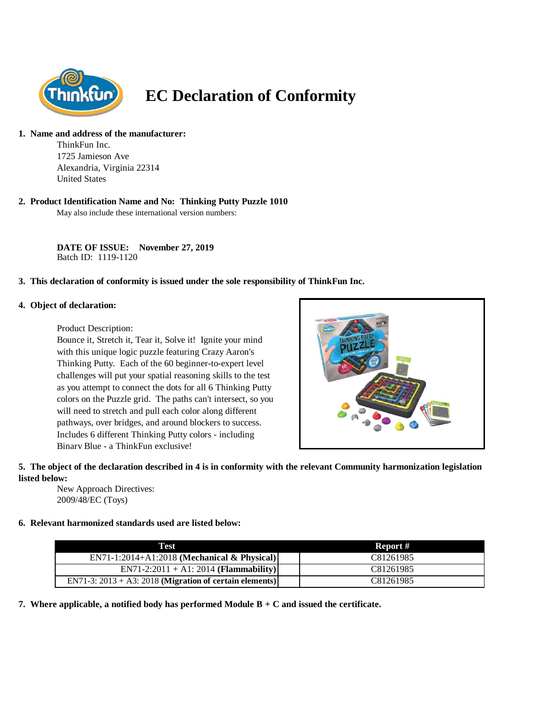

# **EC Declaration of Conformity**

#### **1. Name and address of the manufacturer:**

ThinkFun Inc. 1725 Jamieson Ave Alexandria, Virginia 22314 United States

## **2. Product Identification Name and No: Thinking Putty Puzzle 1010**

May also include these international version numbers:

**DATE OF ISSUE: November 27, 2019** Batch ID: 1119-1120

## **3. This declaration of conformity is issued under the sole responsibility of ThinkFun Inc.**

#### **4. Object of declaration:**

Product Description:

Bounce it, Stretch it, Tear it, Solve it! Ignite your mind with this unique logic puzzle featuring Crazy Aaron's Thinking Putty. Each of the 60 beginner-to-expert level challenges will put your spatial reasoning skills to the test as you attempt to connect the dots for all 6 Thinking Putty colors on the Puzzle grid. The paths can't intersect, so you will need to stretch and pull each color along different pathways, over bridges, and around blockers to success. Includes 6 different Thinking Putty colors - including Binary Blue - a ThinkFun exclusive!



## **5. The object of the declaration described in 4 is in conformity with the relevant Community harmonization legislation listed below:**

New Approach Directives: 2009/48/EC (Toys)

## **6. Relevant harmonized standards used are listed below:**

| Test                                                       | Report #  |
|------------------------------------------------------------|-----------|
| $EN71-1:2014+A1:2018$ (Mechanical & Physical)              | C81261985 |
| $EN71-2:2011 + A1:2014 (Flammaibility)$                    | C81261985 |
| EN71-3: $2013 + A3$ : 2018 (Migration of certain elements) | C81261985 |

**7. Where applicable, a notified body has performed Module B + C and issued the certificate.**